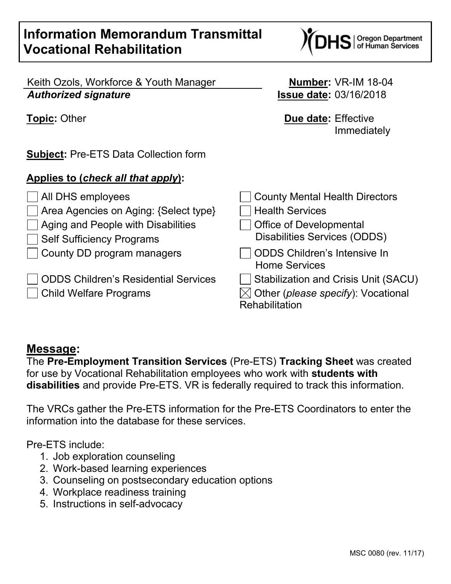# **Information Memorandum Transmittal Vocational Rehabilitation**

Keith Ozols, Workforce & Youth Manager **Number:** VR-IM 18-04 *Authorized signature* **Issue date:** 03/16/2018

**Subject:** Pre-ETS Data Collection form

### **Applies to (***check all that apply***):**

◯ All DHS employees County Mental Health Directors  $\Box$  Area Agencies on Aging: {Select type}  $\Box$  Health Services  $\Box$  Aging and People with Disabilities  $\Box$  Office of Developmental Self Sufficiency Programs Disabilities Services (ODDS) County DD program managers ODDS Children's Intensive In Home Services ODDS Children's Residential Services  $\Box$  Stabilization and Crisis Unit (SACU) Child Welfare Programs  $\boxtimes$  Other (*please specify*): Vocational **Rehabilitation** 

### **Message:**

The **Pre-Employment Transition Services** (Pre-ETS) **Tracking Sheet** was created for use by Vocational Rehabilitation employees who work with **students with disabilities** and provide Pre-ETS. VR is federally required to track this information.

The VRCs gather the Pre-ETS information for the Pre-ETS Coordinators to enter the information into the database for these services.

Pre-ETS include:

- 1. Job exploration counseling
- 2. Work-based learning experiences
- 3. Counseling on postsecondary education options
- 4. Workplace readiness training
- 5. Instructions in self-advocacy

**Topic:** Other **Due date:** Effective Immediately

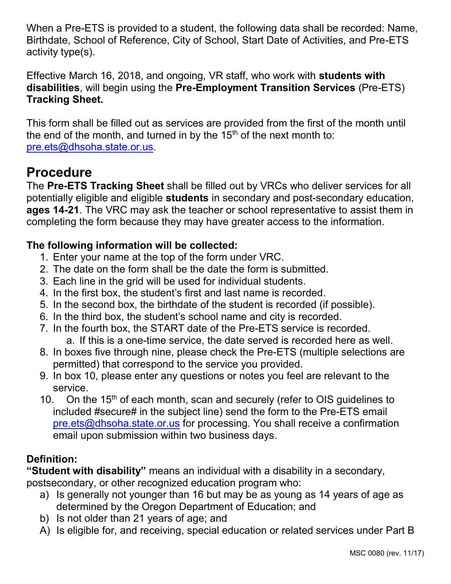When a Pre-ETS is provided to a student, the following data shall be recorded: Name, Birthdate, School of Reference, City of School, Start Date of Activities, and Pre-ETS activity type(s).

Effective March 16, 2018, and ongoing, VR staff, who work with **students with disabilities**, will begin using the **Pre-Employment Transition Services** (Pre-ETS) **Tracking Sheet.**

This form shall be filled out as services are provided from the first of the month until the end of the month, and turned in by the  $15<sup>th</sup>$  of the next month to: [pre.ets@dhsoha.state.or.us.](mailto:pre.ets@dhsoha.state.or.us)

# **Procedure**

The **Pre-ETS Tracking Sheet** shall be filled out by VRCs who deliver services for all potentially eligible and eligible **students** in secondary and post-secondary education, **ages 14-21**. The VRC may ask the teacher or school representative to assist them in completing the form because they may have greater access to the information.

### **The following information will be collected:**

- 1. Enter your name at the top of the form under VRC.
- 2. The date on the form shall be the date the form is submitted.
- 3. Each line in the grid will be used for individual students.
- 4. In the first box, the student's first and last name is recorded.
- 5. In the second box, the birthdate of the student is recorded (if possible).
- 6. In the third box, the student's school name and city is recorded.
- 7. In the fourth box, the START date of the Pre-ETS service is recorded.
	- a. If this is a one-time service, the date served is recorded here as well.
- 8. In boxes five through nine, please check the Pre-ETS (multiple selections are permitted) that correspond to the service you provided.
- 9. In box 10, please enter any questions or notes you feel are relevant to the service.
- 10. On the 15<sup>th</sup> of each month, scan and securely (refer to OIS guidelines to included #secure# in the subject line) send the form to the Pre-ETS email [pre.ets@dhsoha.state.or.us](mailto:pre.ets@dhsoha.state.or.us) for processing. You shall receive a confirmation email upon submission within two business days.

### **Definition:**

**"Student with disability"** means an individual with a disability in a secondary, postsecondary, or other recognized education program who:

- a) Is generally not younger than 16 but may be as young as 14 years of age as determined by the Oregon Department of Education; and
- b) Is not older than 21 years of age; and
- A) Is eligible for, and receiving, special education or related services under Part B